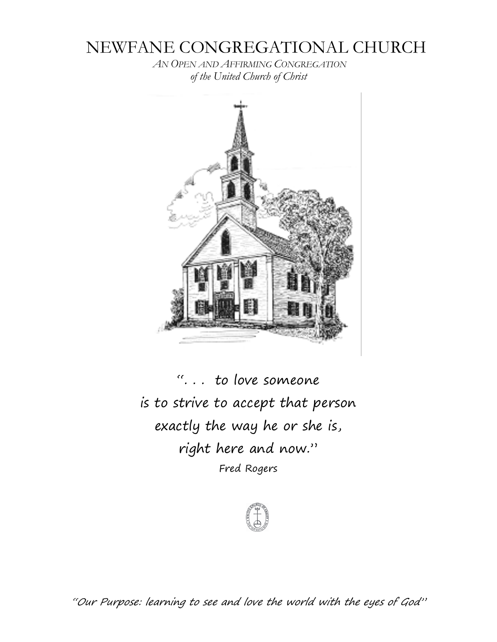# NEWFANE CONGREGATIONAL CHURCH

*AN OPEN AND AFFIRMING CONGREGATION of the United Church of Christ*



". . . to love someone is to strive to accept that person exactly the way he or she is, right here and now." Fred Rogers



"Our Purpose: learning to see and love the world with the eyes of God"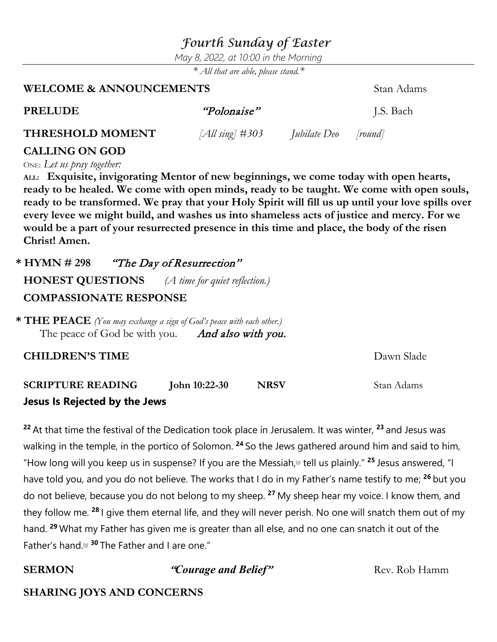## *Fourth Sunday of Easter*

*May 8, 2022, at 10:00 in the Morning*

*\* All that are able, please stand.\**

### **WELCOME & ANNOUNCEMENTS** Stan Adams

| <b>PRELUDE</b>          | "Polonaise"        |                             | J.S. Bach |
|-------------------------|--------------------|-----------------------------|-----------|
| <b>THRESHOLD MOMENT</b> | [All sing] $\#303$ | <i>Jubilate Deo [round]</i> |           |

### **CALLING ON GOD**

ONE: *Let us pray together:*

**ALL: Exquisite, invigorating Mentor of new beginnings, we come today with open hearts, ready to be healed. We come with open minds, ready to be taught. We come with open souls, ready to be transformed. We pray that your Holy Spirit will fill us up until your love spills over every levee we might build, and washes us into shameless acts of justice and mercy. For we would be a part of your resurrected presence in this time and place, the body of the risen Christ! Amen.**

**\* HYMN # 298** "The Day of Resurrection" **HONEST QUESTIONS** *(A time for quiet reflection.)* **COMPASSIONATE RESPONSE**

**\* THE PEACE** *(You may exchange a sign of God's peace with each other.)* The peace of God be with you. And also with you.

**CHILDREN'S TIME**  $Dawn$  Slade

**SCRIPTURE READING John 10:22-30 NRSV** Stan Adams **Jesus Is Rejected by the Jews**

**<sup>22</sup>** At that time the festival of the Dedication took place in Jerusalem. It was winter, **<sup>23</sup>** and Jesus was walking in the temple, in the portico of Solomon. **<sup>24</sup>** So the Jews gathered around him and said to him, "How long will you keep us in suspense? If you are the Messiah, [\[a\]](https://www.biblegateway.com/passage/?search=John+10%3A22-30&version=NRSV#fen-NRSV-26495a) tell us plainly." **<sup>25</sup>** Jesus answered, "I have told you, and you do not believe. The works that I do in my Father's name testify to me; **<sup>26</sup>** but you do not believe, because you do not belong to my sheep. **<sup>27</sup>** My sheep hear my voice. I know them, and they follow me. **<sup>28</sup>** I give them eternal life, and they will never perish. No one will snatch them out of my hand. **<sup>29</sup>** What my Father has given me is greater than all else, and no one can snatch it out of the Father's hand. [\[b\]](https://www.biblegateway.com/passage/?search=John+10%3A22-30&version=NRSV#fen-NRSV-26500b) **<sup>30</sup>** The Father and I are one."

**SERMON** *"Courage and Belief"* Rev. Rob Hamm

### **SHARING JOYS AND CONCERNS**